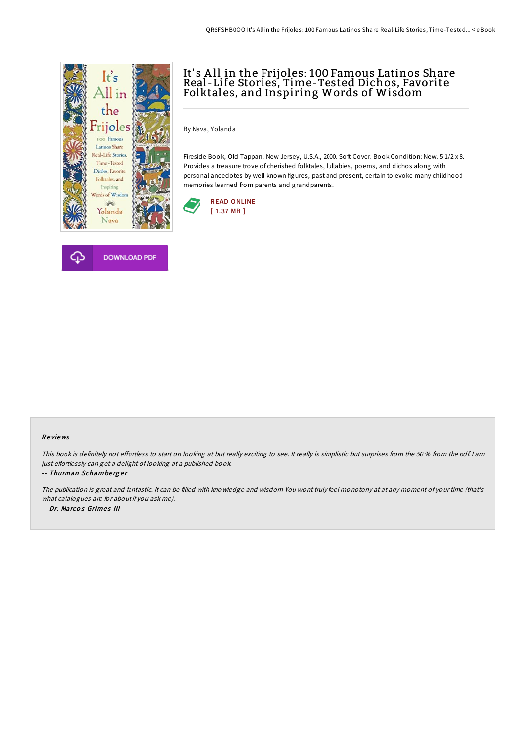



## It' s A ll in the Frijoles: 100 Famous Latinos Share Real -Life Stories, Time-Tested Dichos, Favorite Folktales, and Inspiring Words of Wisdom

By Nava, Yolanda

Fireside Book, Old Tappan, New Jersey, U.S.A., 2000. Soft Cover. Book Condition: New. 5 1/2 x 8. Provides a treasure trove of cherished folktales, lullabies, poems, and dichos along with personal ancedotes by well-known figures, past and present, certain to evoke many childhood memories learned from parents and grandparents.



## Re views

This book is definitely not effortless to start on looking at but really exciting to see. It really is simplistic but surprises from the 50 % from the pdf. I am just effortlessly can get a delight of looking at a published book.

-- Thurman Schamberger

The publication is great and fantastic. It can be filled with knowledge and wisdom You wont truly feel monotony at at any moment of your time (that's what catalogues are for about if you ask me). -- Dr. Marcos Grimes III